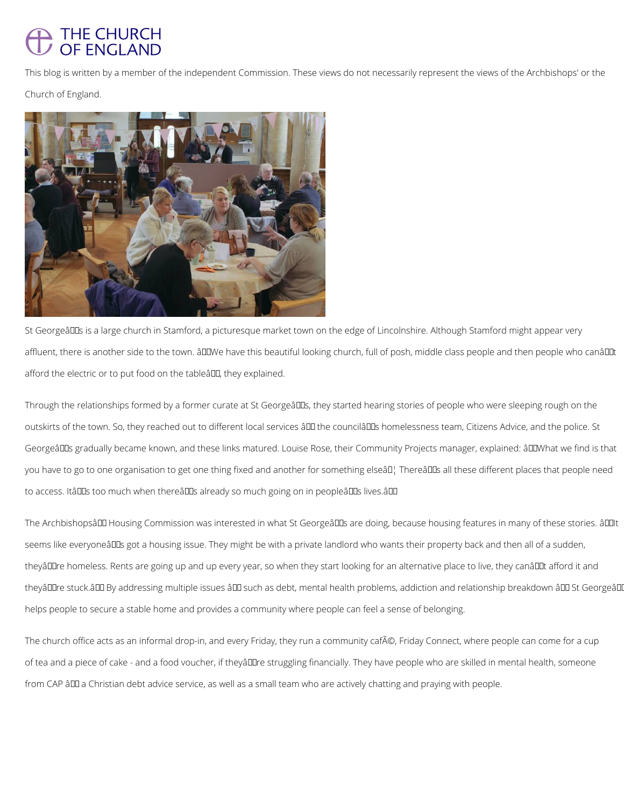## THE CHURCH OF ENGLAND

This blog is written by a member of the independent Commission. These views do not necessarily represent the views of the Archbishops' or the

Church of England.



St Georgeâll Is is a large church in Stamford, a picturesque market town on the edge of Lincolnshire. Although Stamford might appear very affluent, there is another side to the town. âDDWe have this beautiful looking church, full of posh, middle class people and then people who canâDDt afford the electric or to put food on the tableâ. They explained.

Through the relationships formed by a former curate at St Georgeâlls, they started hearing stories of people who were sleeping rough on the outskirts of the town. So, they reached out to different local services â II the councilâ IIs homelessness team, Citizens Advice, and the police. St Georgeâll as gradually became known, and these links matured. Louise Rose, their Community Projects manager, explained: â ll What we find is that you have to go to one organisation to get one thing fixed and another for something elseâll; Thereâll all these different places that people need to access. Itâlles too much when thereâlles already so much going on in peopleâlles lives.âlle

The Archbishopsâlla Housing Commission was interested in what St Georgeâllas are doing, because housing features in many of these stories. âllalt seems like everyoneâ DDs got a housing issue. They might be with a private landlord who wants their property back and then all of a sudden, theyâDDre homeless. Rents are going up and up every year, so when they start looking for an alternative place to live, they canâDDt afford it and theyâ DIre stuck.â DI By addressing multiple issues â DI such as debt, mental health problems, addiction and relationship breakdown â DI St Georgeâ DI

helps people to secure a stable home and provides a community where people can feel a sense of belonging.

The church office acts as an informal drop-in, and every Friday, they run a community café, Friday Connect, where people can come for a cup

of tea and a piece of cake - and a food voucher, if theyâll lre struggling financially. They have people who are skilled in mental health, someone

from CAP â00 a Christian debt advice service, as well as a small team who are actively chatting and praying with people.